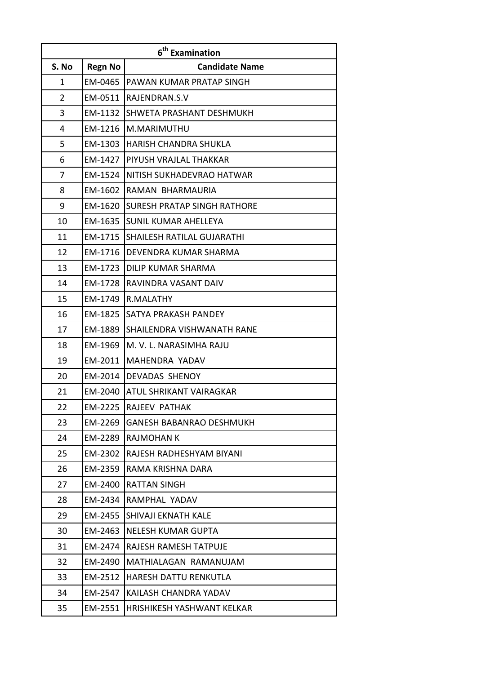| 6 <sup>th</sup> Examination<br>S. No<br><b>Regn No</b><br><b>Candidate Name</b> |  |                                            |  |  |
|---------------------------------------------------------------------------------|--|--------------------------------------------|--|--|
| $\mathbf 1$                                                                     |  | <b>EM-0465   PAWAN KUMAR PRATAP SINGH</b>  |  |  |
| $\overline{2}$                                                                  |  | EM-0511 RAJENDRAN.S.V                      |  |  |
| 3                                                                               |  | <b>EM-1132 SHWETA PRASHANT DESHMUKH</b>    |  |  |
| 4                                                                               |  | EM-1216   M.MARIMUTHU                      |  |  |
| 5                                                                               |  | <b>EM-1303   HARISH CHANDRA SHUKLA</b>     |  |  |
| 6                                                                               |  | EM-1427   PIYUSH VRAJLAL THAKKAR           |  |  |
| 7                                                                               |  | <b>EM-1524 INITISH SUKHADEVRAO HATWAR</b>  |  |  |
| 8                                                                               |  | EM-1602 RAMAN BHARMAURIA                   |  |  |
| 9                                                                               |  | <b>EM-1620 SURESH PRATAP SINGH RATHORE</b> |  |  |
| 10                                                                              |  | <b>EM-1635 SUNIL KUMAR AHELLEYA</b>        |  |  |
| 11                                                                              |  | <b>EM-1715 SHAILESH RATILAL GUJARATHI</b>  |  |  |
| 12                                                                              |  | EM-1716   DEVENDRA KUMAR SHARMA            |  |  |
| 13                                                                              |  | <b>EM-1723 DILIP KUMAR SHARMA</b>          |  |  |
| 14                                                                              |  | <b>EM-1728 RAVINDRA VASANT DAIV</b>        |  |  |
| 15                                                                              |  | EM-1749 R.MALATHY                          |  |  |
| 16                                                                              |  | <b>EM-1825 SATYA PRAKASH PANDEY</b>        |  |  |
| 17                                                                              |  | <b>EM-1889 SHAILENDRA VISHWANATH RANE</b>  |  |  |
| 18                                                                              |  | EM-1969 M. V. L. NARASIMHA RAJU            |  |  |
| 19                                                                              |  | EM-2011   MAHENDRA YADAV                   |  |  |
| 20                                                                              |  | EM-2014 DEVADAS SHENOY                     |  |  |
| 21                                                                              |  | <b>EM-2040 ATUL SHRIKANT VAIRAGKAR</b>     |  |  |
| 22                                                                              |  | <b>EM-2225 RAJEEV PATHAK</b>               |  |  |
| 23                                                                              |  | <b>EM-2269 GANESH BABANRAO DESHMUKH</b>    |  |  |
| 24                                                                              |  | <b>EM-2289 RAJMOHAN K</b>                  |  |  |
| 25                                                                              |  | EM-2302 RAJESH RADHESHYAM BIYANI           |  |  |
| 26                                                                              |  | EM-2359 RAMA KRISHNA DARA                  |  |  |
| 27                                                                              |  | <b>EM-2400 RATTAN SINGH</b>                |  |  |
| 28                                                                              |  | EM-2434 RAMPHAL YADAV                      |  |  |
| 29                                                                              |  | <b>EM-2455 SHIVAJI EKNATH KALE</b>         |  |  |
| 30                                                                              |  | <b>EM-2463 NELESH KUMAR GUPTA</b>          |  |  |
| 31                                                                              |  | EM-2474   RAJESH RAMESH TATPUJE            |  |  |
| 32                                                                              |  | EM-2490   MATHIALAGAN RAMANUJAM            |  |  |
| 33                                                                              |  | <b>EM-2512   HARESH DATTU RENKUTLA</b>     |  |  |
| 34                                                                              |  | <b>EM-2547 KAILASH CHANDRA YADAV</b>       |  |  |
| 35                                                                              |  | <b>EM-2551 HRISHIKESH YASHWANT KELKAR</b>  |  |  |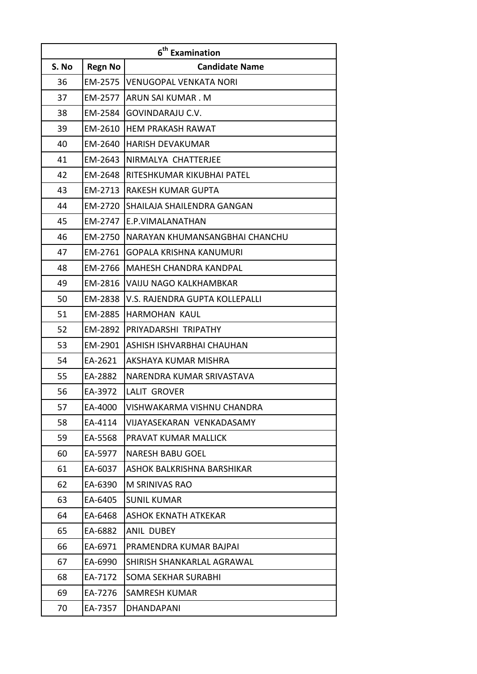| 6 <sup>th</sup> Examination |                |                                |  |  |
|-----------------------------|----------------|--------------------------------|--|--|
| S. No                       | <b>Regn No</b> | <b>Candidate Name</b>          |  |  |
| 36                          | EM-2575        | <b>VENUGOPAL VENKATA NORI</b>  |  |  |
| 37                          | EM-2577        | <b>ARUN SAI KUMAR. M</b>       |  |  |
| 38                          | EM-2584        | GOVINDARAJU C.V.               |  |  |
| 39                          | EM-2610        | <b>HEM PRAKASH RAWAT</b>       |  |  |
| 40                          | EM-2640        | <b>HARISH DEVAKUMAR</b>        |  |  |
| 41                          | EM-2643        | NIRMALYA CHATTERJEE            |  |  |
| 42                          | EM-2648        | RITESHKUMAR KIKUBHAI PATEL     |  |  |
| 43                          | EM-2713        | <b>RAKESH KUMAR GUPTA</b>      |  |  |
| 44                          | EM-2720        | SHAILAJA SHAILENDRA GANGAN     |  |  |
| 45                          | EM-2747        | E.P.VIMALANATHAN               |  |  |
| 46                          | EM-2750        | NARAYAN KHUMANSANGBHAI CHANCHU |  |  |
| 47                          | EM-2761        | <b>GOPALA KRISHNA KANUMURI</b> |  |  |
| 48                          | EM-2766        | <b>MAHESH CHANDRA KANDPAL</b>  |  |  |
| 49                          | EM-2816        | VAIJU NAGO KALKHAMBKAR         |  |  |
| 50                          | EM-2838        | V.S. RAJENDRA GUPTA KOLLEPALLI |  |  |
| 51                          | EM-2885        | HARMOHAN KAUL                  |  |  |
| 52                          | EM-2892        | PRIYADARSHI TRIPATHY           |  |  |
| 53                          | EM-2901        | ASHISH ISHVARBHAI CHAUHAN      |  |  |
| 54                          | EA-2621        | AKSHAYA KUMAR MISHRA           |  |  |
| 55                          | EA-2882        | NARENDRA KUMAR SRIVASTAVA      |  |  |
| 56                          | EA-3972        | <b>LALIT GROVER</b>            |  |  |
| 57                          | EA-4000        | VISHWAKARMA VISHNU CHANDRA     |  |  |
| 58                          | EA-4114        | VIJAYASEKARAN VENKADASAMY      |  |  |
| 59                          | EA-5568        | PRAVAT KUMAR MALLICK           |  |  |
| 60                          | EA-5977        | <b>NARESH BABU GOEL</b>        |  |  |
| 61                          | EA-6037        | ASHOK BALKRISHNA BARSHIKAR     |  |  |
| 62                          | EA-6390        | M SRINIVAS RAO                 |  |  |
| 63                          | EA-6405        | <b>SUNIL KUMAR</b>             |  |  |
| 64                          | EA-6468        | <b>ASHOK EKNATH ATKEKAR</b>    |  |  |
| 65                          | EA-6882        | <b>ANIL DUBEY</b>              |  |  |
| 66                          | EA-6971        | PRAMENDRA KUMAR BAJPAI         |  |  |
| 67                          | EA-6990        | SHIRISH SHANKARLAL AGRAWAL     |  |  |
| 68                          | EA-7172        | <b>SOMA SEKHAR SURABHI</b>     |  |  |
| 69                          | EA-7276        | SAMRESH KUMAR                  |  |  |
| 70                          | EA-7357        | <b>DHANDAPANI</b>              |  |  |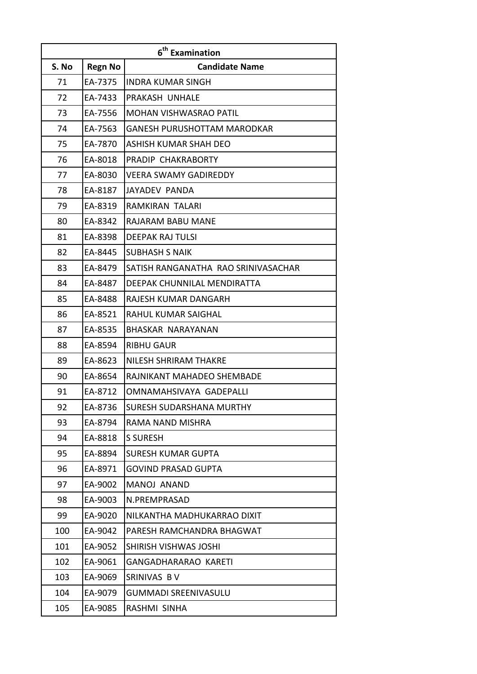| 6 <sup>th</sup> Examination |                |                                     |  |  |
|-----------------------------|----------------|-------------------------------------|--|--|
| S. No                       | <b>Regn No</b> | <b>Candidate Name</b>               |  |  |
| 71                          | EA-7375        | <b>INDRA KUMAR SINGH</b>            |  |  |
| 72                          | EA-7433        | PRAKASH UNHALE                      |  |  |
| 73                          | EA-7556        | <b>MOHAN VISHWASRAO PATIL</b>       |  |  |
| 74                          | EA-7563        | <b>GANESH PURUSHOTTAM MARODKAR</b>  |  |  |
| 75                          | EA-7870        | ASHISH KUMAR SHAH DEO               |  |  |
| 76                          | EA-8018        | PRADIP CHAKRABORTY                  |  |  |
| 77                          | EA-8030        | <b>VEERA SWAMY GADIREDDY</b>        |  |  |
| 78                          | EA-8187        | <b>JAYADEV PANDA</b>                |  |  |
| 79                          | EA-8319        | RAMKIRAN TALARI                     |  |  |
| 80                          | EA-8342        | RAJARAM BABU MANE                   |  |  |
| 81                          | EA-8398        | <b>DEEPAK RAJ TULSI</b>             |  |  |
| 82                          | EA-8445        | <b>SUBHASH S NAIK</b>               |  |  |
| 83                          | EA-8479        | SATISH RANGANATHA RAO SRINIVASACHAR |  |  |
| 84                          | EA-8487        | DEEPAK CHUNNILAL MENDIRATTA         |  |  |
| 85                          | EA-8488        | RAJESH KUMAR DANGARH                |  |  |
| 86                          | EA-8521        | RAHUL KUMAR SAIGHAL                 |  |  |
| 87                          | EA-8535        | BHASKAR NARAYANAN                   |  |  |
| 88                          | EA-8594        | <b>RIBHU GAUR</b>                   |  |  |
| 89                          | EA-8623        | NILESH SHRIRAM THAKRE               |  |  |
| 90                          | EA-8654        | RAJNIKANT MAHADEO SHEMBADE          |  |  |
| 91                          | EA-8712        | OMNAMAHSIVAYA GADEPALLI             |  |  |
| 92                          | EA-8736        | <b>SURESH SUDARSHANA MURTHY</b>     |  |  |
| 93                          | EA-8794        | RAMA NAND MISHRA                    |  |  |
| 94                          | EA-8818        | <b>S SURESH</b>                     |  |  |
| 95                          | EA-8894        | <b>SURESH KUMAR GUPTA</b>           |  |  |
| 96                          | EA-8971        | <b>GOVIND PRASAD GUPTA</b>          |  |  |
| 97                          | EA-9002        | <b>MANOJ ANAND</b>                  |  |  |
| 98                          | EA-9003        | N.PREMPRASAD                        |  |  |
| 99                          | EA-9020        | NILKANTHA MADHUKARRAO DIXIT         |  |  |
| 100                         | EA-9042        | PARESH RAMCHANDRA BHAGWAT           |  |  |
| 101                         | EA-9052        | <b>SHIRISH VISHWAS JOSHI</b>        |  |  |
| 102                         | EA-9061        | <b>GANGADHARARAO KARETI</b>         |  |  |
| 103                         | EA-9069        | SRINIVAS BV                         |  |  |
| 104                         | EA-9079        | GUMMADI SREENIVASULU                |  |  |
| 105                         | EA-9085        | RASHMI SINHA                        |  |  |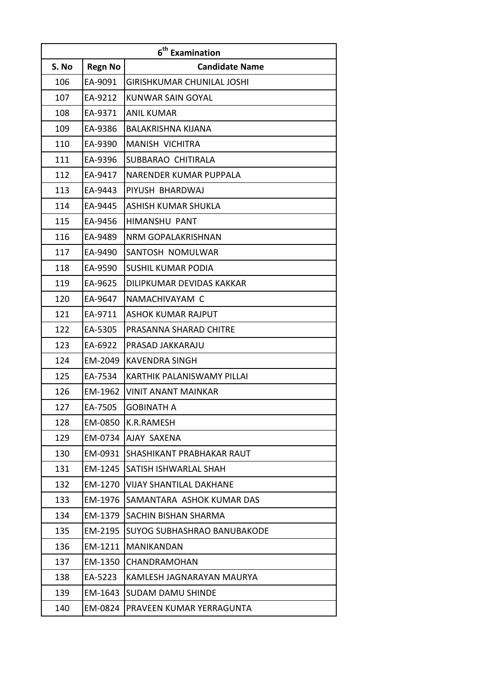| 6 <sup>th</sup> Examination |                |                                    |  |  |
|-----------------------------|----------------|------------------------------------|--|--|
| S. No                       | <b>Regn No</b> | <b>Candidate Name</b>              |  |  |
| 106                         | EA-9091        | <b>GIRISHKUMAR CHUNILAL JOSHI</b>  |  |  |
| 107                         | EA-9212        | KUNWAR SAIN GOYAL                  |  |  |
| 108                         | EA-9371        | <b>ANIL KUMAR</b>                  |  |  |
| 109                         | EA-9386        | <b>BALAKRISHNA KIJANA</b>          |  |  |
| 110                         | EA-9390        | <b>MANISH VICHITRA</b>             |  |  |
| 111                         | EA-9396        | SUBBARAO CHITIRALA                 |  |  |
| 112                         | EA-9417        | NARENDER KUMAR PUPPALA             |  |  |
| 113                         | EA-9443        | PIYUSH BHARDWAJ                    |  |  |
| 114                         | EA-9445        | ASHISH KUMAR SHUKLA                |  |  |
| 115                         | EA-9456        | <b>HIMANSHU PANT</b>               |  |  |
| 116                         | EA-9489        | NRM GOPALAKRISHNAN                 |  |  |
| 117                         | EA-9490        | SANTOSH NOMULWAR                   |  |  |
| 118                         | EA-9590        | <b>SUSHIL KUMAR PODIA</b>          |  |  |
| 119                         | EA-9625        | DILIPKUMAR DEVIDAS KAKKAR          |  |  |
| 120                         | EA-9647        | NAMACHIVAYAM C                     |  |  |
| 121                         | EA-9711        | <b>ASHOK KUMAR RAJPUT</b>          |  |  |
| 122                         | EA-5305        | PRASANNA SHARAD CHITRE             |  |  |
| 123                         | EA-6922        | PRASAD JAKKARAJU                   |  |  |
| 124                         | EM-2049        | <b>KAVENDRA SINGH</b>              |  |  |
| 125                         | EA-7534        | KARTHIK PALANISWAMY PILLAI         |  |  |
| 126                         | EM-1962        | <b>VINIT ANANT MAINKAR</b>         |  |  |
| 127                         | EA-7505        | <b>GOBINATH A</b>                  |  |  |
| 128                         | EM-0850        | K.R.RAMESH                         |  |  |
| 129                         | EM-0734        | AJAY SAXENA                        |  |  |
| 130                         | EM-0931        | SHASHIKANT PRABHAKAR RAUT          |  |  |
| 131                         | EM-1245        | SATISH ISHWARLAL SHAH              |  |  |
| 132                         | EM-1270        | <b>VIJAY SHANTILAL DAKHANE</b>     |  |  |
| 133                         | EM-1976        | SAMANTARA ASHOK KUMAR DAS          |  |  |
| 134                         | EM-1379        | SACHIN BISHAN SHARMA               |  |  |
| 135                         | EM-2195        | <b>SUYOG SUBHASHRAO BANUBAKODE</b> |  |  |
| 136                         | EM-1211        | <b>MANIKANDAN</b>                  |  |  |
| 137                         | EM-1350        | CHANDRAMOHAN                       |  |  |
| 138                         | EA-5223        | KAMLESH JAGNARAYAN MAURYA          |  |  |
| 139                         | EM-1643        | SUDAM DAMU SHINDE                  |  |  |
| 140                         | EM-0824        | PRAVEEN KUMAR YERRAGUNTA           |  |  |